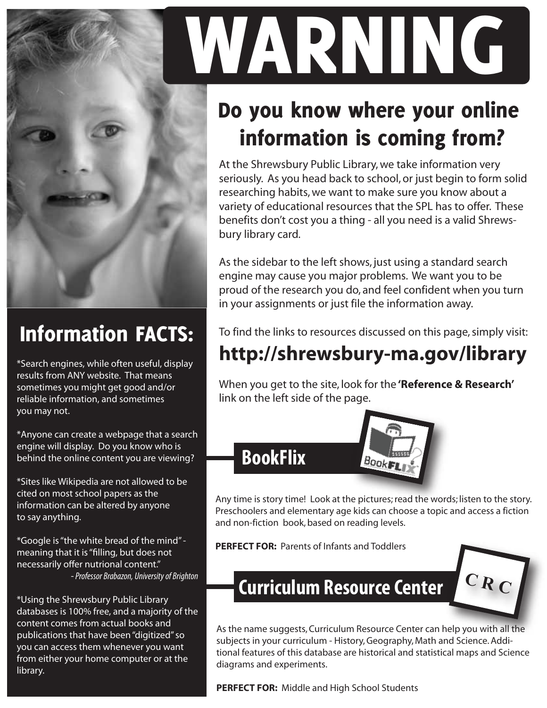

#### Information FACTS:

\*Search engines, while often useful, display results from ANY website. That means sometimes you might get good and/or reliable information, and sometimes you may not.

\*Anyone can create a webpage that a search engine will display. Do you know who is behind the online content you are viewing?

\*Sites like Wikipedia are not allowed to be cited on most school papers as the information can be altered by anyone to say anything.

\*Google is "the white bread of the mind" meaning that it is "filling, but does not necessarily offer nutrional content." - *Professor Brabazon, University of Brighton*

\*Using the Shrewsbury Public Library databases is 100% free, and a majority of the content comes from actual books and publications that have been "digitized" so you can access them whenever you want from either your home computer or at the library.

# WARNING

## Do you know where your online information is coming from?

At the Shrewsbury Public Library, we take information very seriously. As you head back to school, or just begin to form solid researching habits, we want to make sure you know about a variety of educational resources that the SPL has to offer. These benefits don't cost you a thing - all you need is a valid Shrewsbury library card.

As the sidebar to the left shows, just using a standard search engine may cause you major problems. We want you to be proud of the research you do, and feel confident when you turn in your assignments or just file the information away.

To find the links to resources discussed on this page, simply visit:

### **http://shrewsbury-ma.gov/library**

When you get to the site, look for the **'Reference & Research'** link on the left side of the page.



Any time is story time! Look at the pictures; read the words; listen to the story. Preschoolers and elementary age kids can choose a topic and access a fiction and non-fiction book, based on reading levels.

**PERFECT FOR:** Parents of Infants and Toddlers



**Curriculum Resource Center C R C**

As the name suggests, Curriculum Resource Center can help you with all the subjects in your curriculum - History, Geography, Math and Science. Additional features of this database are historical and statistical maps and Science diagrams and experiments.

**PERFECT FOR:** Middle and High School Students